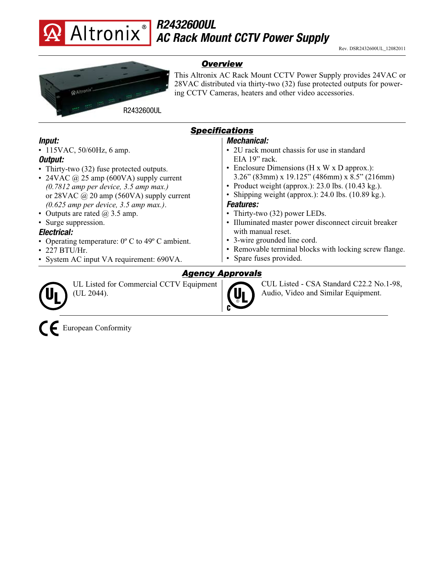

# *R2432600UL AC Rack Mount CCTV Power Supply*



• Thirty-two (32) fuse protected outputs. • 24VAC  $\omega$  25 amp (600VA) supply current *(0.7812 amp per device, 3.5 amp max.)* or 28VAC @ 20 amp (560VA) supply current *(0.625 amp per device, 3.5 amp max.)*.

• Operating temperature:  $0^{\circ}$  C to 49<sup>o</sup> C ambient.

• System AC input VA requirement: 690VA.

• 115VAC, 50/60Hz, 6 amp.

• Outputs are rated  $\omega$  3.5 amp.

• Surge suppression.

*Electrical:*

• 227 BTU/Hr.

*Overview*

This Altronix AC Rack Mount CCTV Power Supply provides 24VAC or 28VAC distributed via thirty-two (32) fuse protected outputs for powering CCTV Cameras, heaters and other video accessories.

## *Specifications*

| Mechanical: |  |
|-------------|--|
|-------------|--|

- 2U rack mount chassis for use in standard EIA 19" rack.
- Enclosure Dimensions (H x W x D approx.): 3.26" (83mm) x 19.125" (486mm) x 8.5" (216mm)
- Product weight (approx.):  $23.0$  lbs. (10.43 kg.).
- Shipping weight (approx.): 24.0 lbs. (10.89 kg.).

#### *Features:*

- Thirty-two (32) power LEDs.
- Illuminated master power disconnect circuit breaker with manual reset.
- 3-wire grounded line cord.
- Removable terminal blocks with locking screw flange.
- Spare fuses provided.

### *Agency Approvals*

UL Listed for Commercial CCTV Equipment (UL 2044).



CUL Listed - CSA Standard C22.2 No.1-98, Audio, Video and Similar Equipment.



*Input:*

*Output:*

European Conformity